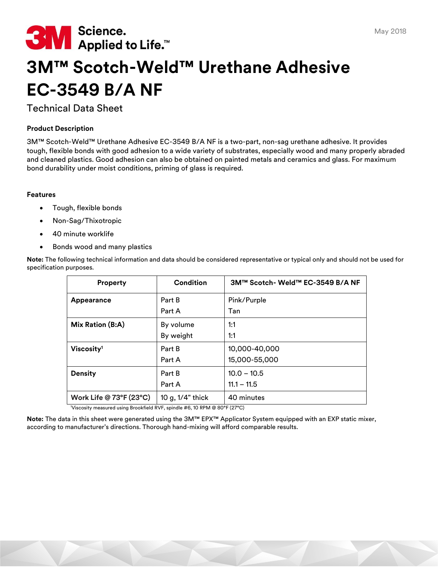

# **3M™ Scotch-Weld™ Urethane Adhesive EC-3549 B/A NF**

## Technical Data Sheet

## **Product Description**

3M™ Scotch-Weld™ Urethane Adhesive EC-3549 B/A NF is a two-part, non-sag urethane adhesive. It provides tough, flexible bonds with good adhesion to a wide variety of substrates, especially wood and many properly abraded and cleaned plastics. Good adhesion can also be obtained on painted metals and ceramics and glass. For maximum bond durability under moist conditions, priming of glass is required.

#### **Features**

- Tough, flexible bonds
- Non-Sag/Thixotropic
- 40 minute worklife
- Bonds wood and many plastics

| <b>Property</b>                        | Condition           | 3M™ Scotch- Weld™ EC-3549 B/A NF |
|----------------------------------------|---------------------|----------------------------------|
| Appearance                             | Part B              | Pink/Purple                      |
|                                        | Part A              | Tan                              |
| Mix Ration (B:A)                       | By volume           | 1:1                              |
|                                        | By weight           | 1:1                              |
| Viscosity <sup>1</sup>                 | Part B              | 10,000-40,000                    |
|                                        | Part A              | 15,000-55,000                    |
| <b>Density</b>                         | Part B              | $10.0 - 10.5$                    |
|                                        | Part A              | $11.1 - 11.5$                    |
| Work Life @ $73^{\circ}F(23^{\circ}C)$ | 10 g, $1/4$ " thick | 40 minutes                       |

**Note:** The following technical information and data should be considered representative or typical only and should not be used for specification purposes.

<sup>1</sup>Viscosity measured using Brookfield RVF, spindle #6, 10 RPM @ 80°F (27°C)

**Note:** The data in this sheet were generated using the 3M™ EPX™ Applicator System equipped with an EXP static mixer, according to manufacturer's directions. Thorough hand-mixing will afford comparable results.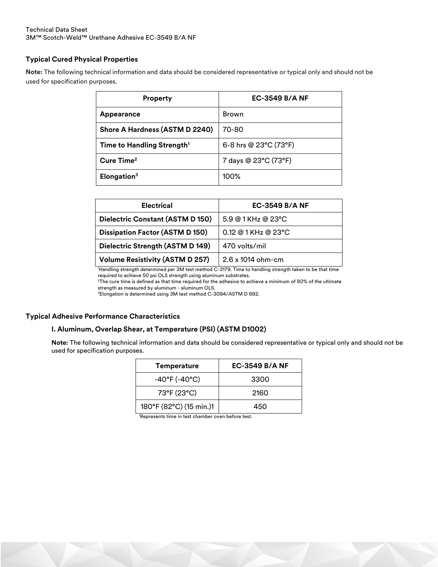## **Typical Cured Physical Properties**

**Note:** The following technical information and data should be considered representative or typical only and should not be used for specification purposes.

| <b>Property</b>                        | <b>EC-3549 B/A NF</b> |  |
|----------------------------------------|-----------------------|--|
| <b>Appearance</b>                      | Brown                 |  |
| Shore A Hardness (ASTM D 2240)         | 70-80                 |  |
| Time to Handling Strength <sup>1</sup> | 6-8 hrs @ 23°C (73°F) |  |
| Cure Time <sup>2</sup>                 | 7 days @ 23°C (73°F)  |  |
| Elongation <sup>3</sup>                | $100\%$               |  |

| <b>Electrical</b>                      | <b>EC-3549 B/A NF</b>               |  |
|----------------------------------------|-------------------------------------|--|
| Dielectric Constant (ASTM D 150)       | $5.9@1$ KHz @ 23°C                  |  |
| <b>Dissipation Factor (ASTM D 150)</b> | $0.12 \ @ 1$ KHz $\ @ 23^{\circ}$ C |  |
| Dielectric Strength (ASTM D 149)       | 470 volts/mil                       |  |
| <b>Volume Resistivity (ASTM D 257)</b> | 2.6 x 1014 ohm-cm                   |  |

<sup>1</sup>Handling strength determined per 3M test method C-3179. Time to handling strength taken to be that time required to achieve 50 psi OLS strength using aluminum substrates.

 $2$ The cure time is defined as that time required for the adhesive to achieve a minimum of 80% of the ultimate strength as measured by aluminum - aluminum OLS.

<sup>3</sup>Elongation is determined using 3M test method C-3094/ASTM D 882.

#### **Typical Adhesive Performance Characteristics**

#### **I. Aluminum, Overlap Shear, at Temperature (PSI) (ASTM D1002)**

**Note:** The following technical information and data should be considered representative or typical only and should not be used for specification purposes.

| <b>Temperature</b>                 | <b>EC-3549 B/A NF</b> |  |
|------------------------------------|-----------------------|--|
| $-40^{\circ}$ F ( $-40^{\circ}$ C) | 3300                  |  |
| 73°F (23°C)                        | 2160                  |  |
| 180°F (82°C) (15 min.)1            | 450                   |  |

1Represents time in test chamber oven before test.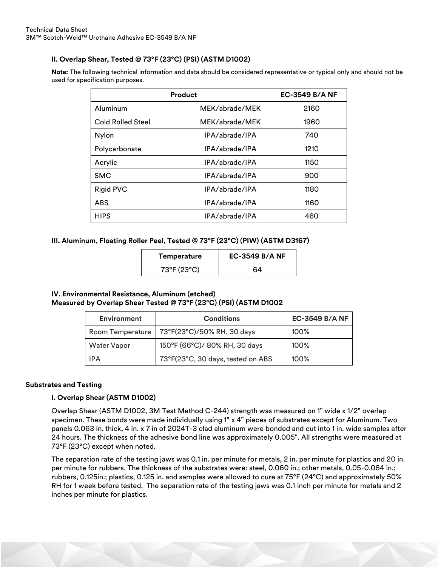## **II. Overlap Shear, Tested @ 73°F (23°C) (PSI) (ASTM D1002)**

**Note:** The following technical information and data should be considered representative or typical only and should not be used for specification purposes.

| Product                  |                | <b>EC-3549 B/A NF</b> |
|--------------------------|----------------|-----------------------|
| Aluminum                 | MEK/abrade/MEK | 2160                  |
| <b>Cold Rolled Steel</b> | MEK/abrade/MEK | 1960                  |
| Nylon                    | IPA/abrade/IPA | 740                   |
| Polycarbonate            | IPA/abrade/IPA | 1210                  |
| Acrylic                  | IPA/abrade/IPA | 1150                  |
| <b>SMC</b>               | IPA/abrade/IPA | 900                   |
| <b>Rigid PVC</b>         | IPA/abrade/IPA | 1180                  |
| <b>ABS</b>               | IPA/abrade/IPA | 1160                  |
| <b>HIPS</b>              | IPA/abrade/IPA | 460                   |

#### **III. Aluminum, Floating Roller Peel, Tested @ 73°F (23°C) (PIW) (ASTM D3167)**

| Temperature | <b>EC-3549 B/A NF</b> |  |
|-------------|-----------------------|--|
| 73°F (23°C) | 64                    |  |

## **IV. Environmental Resistance, Aluminum (etched) Measured by Overlap Shear Tested @ 73°F (23°C) (PSI) (ASTM D1002**

| <b>Environment</b> | <b>Conditions</b>                 | <b>EC-3549 B/A NF</b> |
|--------------------|-----------------------------------|-----------------------|
| Room Temperature   | 73°F(23°C)/50% RH, 30 days        | 100%                  |
| <b>Water Vapor</b> | 150°F (66°C)/ 80% RH, 30 days     | 100%                  |
| IPA                | 73°F(23°C, 30 days, tested on ABS | 100%                  |

#### **Substrates and Testing**

## **I. Overlap Shear (ASTM D1002)**

Overlap Shear (ASTM D1002, 3M Test Method C-244) strength was measured on 1" wide x 1/2" overlap specimen. These bonds were made individually using 1" x 4" pieces of substrates except for Aluminum. Two panels 0.063 in. thick, 4 in. x 7 in of 2024T-3 clad aluminum were bonded and cut into 1 in. wide samples after 24 hours. The thickness of the adhesive bond line was approximately 0.005". All strengths were measured at 73°F (23°C) except when noted.

The separation rate of the testing jaws was 0.1 in. per minute for metals, 2 in. per minute for plastics and 20 in. per minute for rubbers. The thickness of the substrates were: steel, 0.060 in.; other metals, 0.05-0.064 in.; rubbers, 0.125in.; plastics, 0.125 in. and samples were allowed to cure at 75°F (24°C) and approximately 50% RH for 1 week before tested. The separation rate of the testing jaws was 0.1 inch per minute for metals and 2 inches per minute for plastics.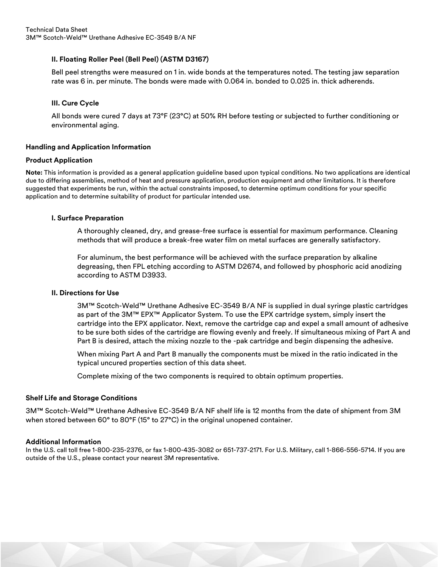## **II. Floating Roller Peel (Bell Peel) (ASTM D3167)**

Bell peel strengths were measured on 1 in. wide bonds at the temperatures noted. The testing jaw separation rate was 6 in. per minute. The bonds were made with 0.064 in. bonded to 0.025 in. thick adherends.

#### **III. Cure Cycle**

All bonds were cured 7 days at 73°F (23°C) at 50% RH before testing or subjected to further conditioning or environmental aging.

#### **Handling and Application Information**

#### **Product Application**

**Note:** This information is provided as a general application guideline based upon typical conditions. No two applications are identical due to differing assemblies, method of heat and pressure application, production equipment and other limitations. It is therefore suggested that experiments be run, within the actual constraints imposed, to determine optimum conditions for your specific application and to determine suitability of product for particular intended use.

#### **I. Surface Preparation**

A thoroughly cleaned, dry, and grease-free surface is essential for maximum performance. Cleaning methods that will produce a break-free water film on metal surfaces are generally satisfactory.

For aluminum, the best performance will be achieved with the surface preparation by alkaline degreasing, then FPL etching according to ASTM D2674, and followed by phosphoric acid anodizing according to ASTM D3933.

#### **II. Directions for Use**

3M™ Scotch-Weld™ Urethane Adhesive EC-3549 B/A NF is supplied in dual syringe plastic cartridges as part of the 3M™ EPX™ Applicator System. To use the EPX cartridge system, simply insert the cartridge into the EPX applicator. Next, remove the cartridge cap and expel a small amount of adhesive to be sure both sides of the cartridge are flowing evenly and freely. If simultaneous mixing of Part A and Part B is desired, attach the mixing nozzle to the -pak cartridge and begin dispensing the adhesive.

When mixing Part A and Part B manually the components must be mixed in the ratio indicated in the typical uncured properties section of this data sheet.

Complete mixing of the two components is required to obtain optimum properties.

#### **Shelf Life and Storage Conditions**

3M™ Scotch-Weld™ Urethane Adhesive EC-3549 B/A NF shelf life is 12 months from the date of shipment from 3M when stored between 60° to 80°F (15° to 27°C) in the original unopened container.

#### **Additional Information**

In the U.S. call toll free 1-800-235-2376, or fax 1-800-435-3082 or 651-737-2171. For U.S. Military, call 1-866-556-5714. If you are outside of the U.S., please contact your nearest 3M representative.